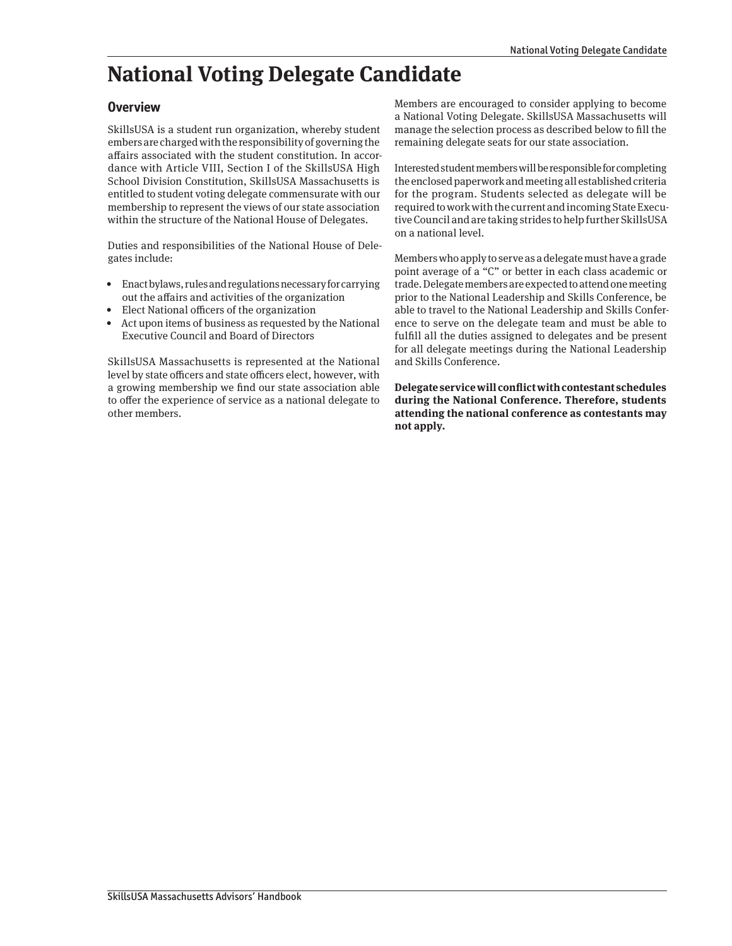## **National Voting Delegate Candidate**

### **Overview**

SkillsUSA is a student run organization, whereby student embers are charged with the responsibility of governing the affairs associated with the student constitution. In accordance with Article VIII, Section I of the SkillsUSA High School Division Constitution, SkillsUSA Massachusetts is entitled to student voting delegate commensurate with our membership to represent the views of our state association within the structure of the National House of Delegates.

Duties and responsibilities of the National House of Delegates include:

- Enact bylaws, rules and regulations necessary for carrying out the affairs and activities of the organization
- Elect National officers of the organization
- Act upon items of business as requested by the National Executive Council and Board of Directors

SkillsUSA Massachusetts is represented at the National level by state officers and state officers elect, however, with a growing membership we find our state association able to offer the experience of service as a national delegate to other members.

Members are encouraged to consider applying to become a National Voting Delegate. SkillsUSA Massachusetts will manage the selection process as described below to fill the remaining delegate seats for our state association.

Interested student members will be responsible for completing the enclosed paperwork and meeting all established criteria for the program. Students selected as delegate will be required to work with the current and incoming State Executive Council and are taking strides to help further SkillsUSA on a national level.

Members who apply to serve as a delegate must have a grade point average of a "C" or better in each class academic or trade. Delegate members are expected to attend one meeting prior to the National Leadership and Skills Conference, be able to travel to the National Leadership and Skills Conference to serve on the delegate team and must be able to fulfill all the duties assigned to delegates and be present for all delegate meetings during the National Leadership and Skills Conference.

**Delegate service will conflict with contestant schedules during the National Conference. Therefore, students attending the national conference as contestants may not apply.**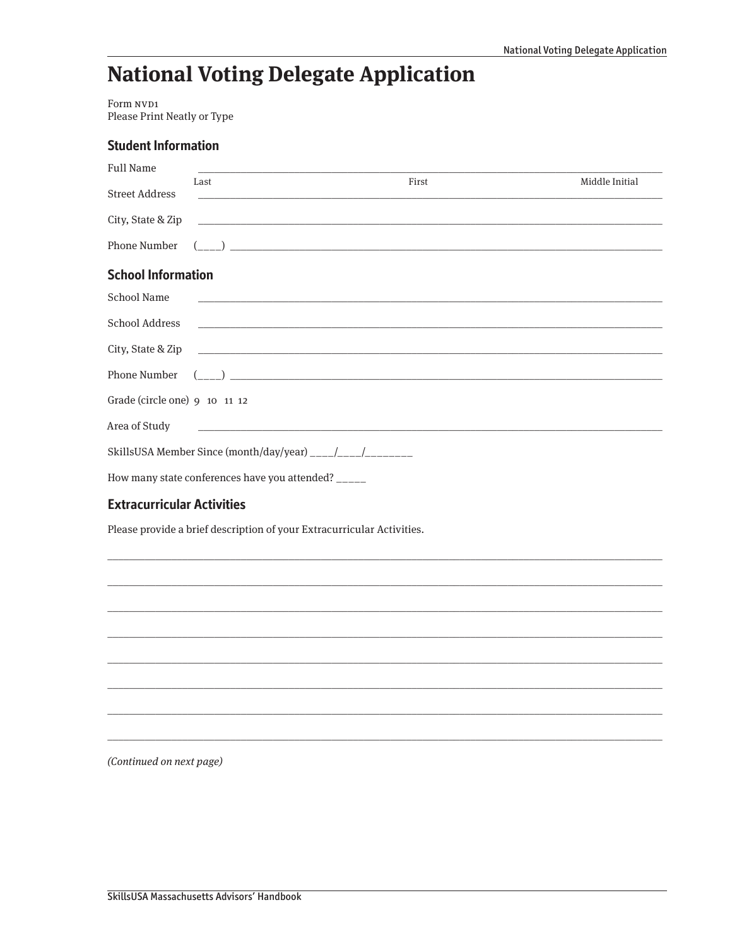# **National Voting Delegate Application**

Form NVD1 Please Print Neatly or Type

| <b>Student Information</b>        |                                                                        |                                                                                                                                                                                                                                                                                                                                                     |                |
|-----------------------------------|------------------------------------------------------------------------|-----------------------------------------------------------------------------------------------------------------------------------------------------------------------------------------------------------------------------------------------------------------------------------------------------------------------------------------------------|----------------|
| <b>Full Name</b>                  |                                                                        |                                                                                                                                                                                                                                                                                                                                                     |                |
| <b>Street Address</b>             | Last                                                                   | First<br><u> 1989 - Johann Stoff, deutscher Stoff, der Stoff, der Stoff, der Stoff, der Stoff, der Stoff, der Stoff, der S</u>                                                                                                                                                                                                                      | Middle Initial |
|                                   |                                                                        |                                                                                                                                                                                                                                                                                                                                                     |                |
| Phone Number                      |                                                                        | $\overline{a}$ ( $\overline{a}$ ) $\overline{a}$ ) $\overline{a}$ ) $\overline{a}$ ( $\overline{a}$ ) $\overline{a}$ ) $\overline{a}$ ( $\overline{a}$ ) $\overline{a}$ ( $\overline{a}$ ) $\overline{a}$ ( $\overline{a}$ ) $\overline{a}$ ( $\overline{a}$ ) $\overline{a}$ ( $\overline{a}$ ) $\overline{a}$ ( $\overline{a}$ ) $\overline{a}$ ( |                |
| <b>School Information</b>         |                                                                        |                                                                                                                                                                                                                                                                                                                                                     |                |
| School Name                       |                                                                        | <u> 1989 - Johann Stoff, deutscher Stoff, der Stoff, der Stoff, der Stoff, der Stoff, der Stoff, der Stoff, der S</u>                                                                                                                                                                                                                               |                |
| School Address                    |                                                                        | <u> Andreas Andreas Andreas Andreas Andreas Andreas Andreas Andreas Andreas Andreas Andreas Andreas Andreas Andr</u>                                                                                                                                                                                                                                |                |
|                                   |                                                                        |                                                                                                                                                                                                                                                                                                                                                     |                |
|                                   |                                                                        |                                                                                                                                                                                                                                                                                                                                                     |                |
| Grade (circle one) 9 10 11 12     |                                                                        |                                                                                                                                                                                                                                                                                                                                                     |                |
| Area of Study                     |                                                                        | and the control of the control of the control of the control of the control of the control of the control of the                                                                                                                                                                                                                                    |                |
|                                   |                                                                        |                                                                                                                                                                                                                                                                                                                                                     |                |
|                                   | How many state conferences have you attended? _____                    |                                                                                                                                                                                                                                                                                                                                                     |                |
| <b>Extracurricular Activities</b> |                                                                        |                                                                                                                                                                                                                                                                                                                                                     |                |
|                                   | Please provide a brief description of your Extracurricular Activities. |                                                                                                                                                                                                                                                                                                                                                     |                |

(Continued on next page)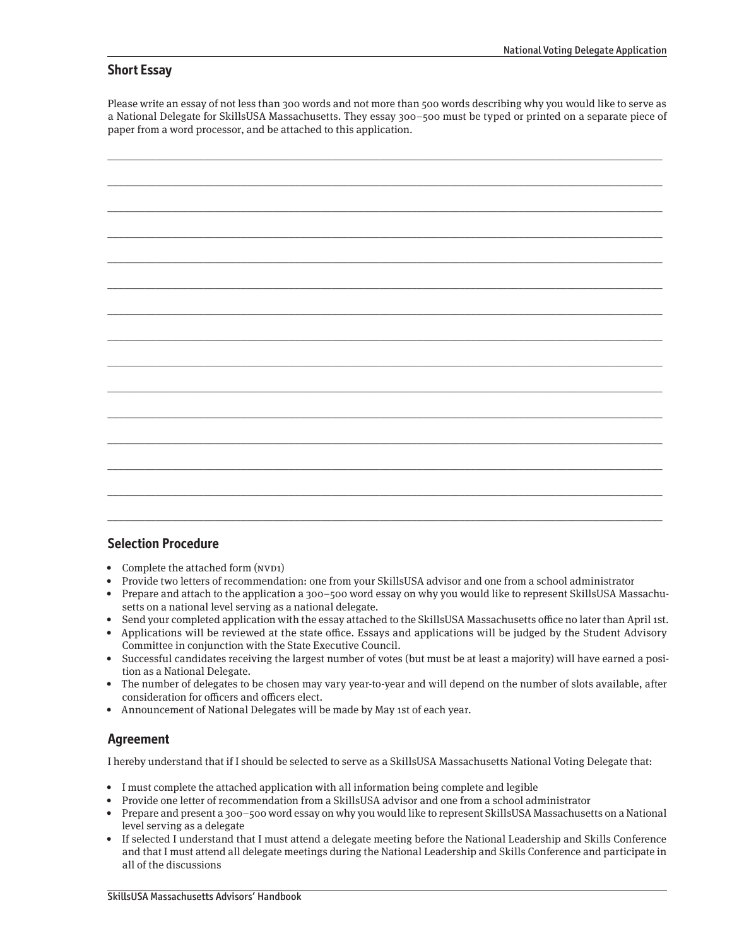#### **Short Essay**

Please write an essay of not less than 300 words and not more than 500 words describing why you would like to serve as a National Delegate for SkillsUSA Massachusetts. They essay 300–500 must be typed or printed on a separate piece of paper from a word processor, and be attached to this application.

| $\overline{\phantom{0}}$                                                                                                                                                                                                                                                                                                                                                                                                                                                             |
|--------------------------------------------------------------------------------------------------------------------------------------------------------------------------------------------------------------------------------------------------------------------------------------------------------------------------------------------------------------------------------------------------------------------------------------------------------------------------------------|
|                                                                                                                                                                                                                                                                                                                                                                                                                                                                                      |
|                                                                                                                                                                                                                                                                                                                                                                                                                                                                                      |
|                                                                                                                                                                                                                                                                                                                                                                                                                                                                                      |
|                                                                                                                                                                                                                                                                                                                                                                                                                                                                                      |
|                                                                                                                                                                                                                                                                                                                                                                                                                                                                                      |
|                                                                                                                                                                                                                                                                                                                                                                                                                                                                                      |
|                                                                                                                                                                                                                                                                                                                                                                                                                                                                                      |
|                                                                                                                                                                                                                                                                                                                                                                                                                                                                                      |
| $\begin{tabular}{cccccc} \multicolumn{2}{c}{} & \multicolumn{2}{c}{} & \multicolumn{2}{c}{} & \multicolumn{2}{c}{} & \multicolumn{2}{c}{} & \multicolumn{2}{c}{} & \multicolumn{2}{c}{} & \multicolumn{2}{c}{} & \multicolumn{2}{c}{} & \multicolumn{2}{c}{} & \multicolumn{2}{c}{} & \multicolumn{2}{c}{} & \multicolumn{2}{c}{} & \multicolumn{2}{c}{} & \multicolumn{2}{c}{} & \multicolumn{2}{c}{} & \multicolumn{2}{c}{} & \multicolumn{2}{c}{} & \multicolumn{2}{c}{} & \mult$ |
|                                                                                                                                                                                                                                                                                                                                                                                                                                                                                      |
|                                                                                                                                                                                                                                                                                                                                                                                                                                                                                      |
| $\overline{\phantom{0}}$                                                                                                                                                                                                                                                                                                                                                                                                                                                             |
|                                                                                                                                                                                                                                                                                                                                                                                                                                                                                      |
|                                                                                                                                                                                                                                                                                                                                                                                                                                                                                      |
| _____                                                                                                                                                                                                                                                                                                                                                                                                                                                                                |
|                                                                                                                                                                                                                                                                                                                                                                                                                                                                                      |
|                                                                                                                                                                                                                                                                                                                                                                                                                                                                                      |
|                                                                                                                                                                                                                                                                                                                                                                                                                                                                                      |
|                                                                                                                                                                                                                                                                                                                                                                                                                                                                                      |
|                                                                                                                                                                                                                                                                                                                                                                                                                                                                                      |
|                                                                                                                                                                                                                                                                                                                                                                                                                                                                                      |
|                                                                                                                                                                                                                                                                                                                                                                                                                                                                                      |
|                                                                                                                                                                                                                                                                                                                                                                                                                                                                                      |
| $\frac{1}{2} \left( \frac{1}{2} \right) \left( \frac{1}{2} \right) \left( \frac{1}{2} \right) \left( \frac{1}{2} \right) \left( \frac{1}{2} \right) \left( \frac{1}{2} \right) \left( \frac{1}{2} \right) \left( \frac{1}{2} \right) \left( \frac{1}{2} \right) \left( \frac{1}{2} \right) \left( \frac{1}{2} \right) \left( \frac{1}{2} \right) \left( \frac{1}{2} \right) \left( \frac{1}{2} \right) \left( \frac{1}{2} \right) \left( \frac{1}{2} \right) \left( \frac$           |
|                                                                                                                                                                                                                                                                                                                                                                                                                                                                                      |
|                                                                                                                                                                                                                                                                                                                                                                                                                                                                                      |
| $\overline{\phantom{0}}$                                                                                                                                                                                                                                                                                                                                                                                                                                                             |
|                                                                                                                                                                                                                                                                                                                                                                                                                                                                                      |
|                                                                                                                                                                                                                                                                                                                                                                                                                                                                                      |
| $\overline{\phantom{0}}$                                                                                                                                                                                                                                                                                                                                                                                                                                                             |
|                                                                                                                                                                                                                                                                                                                                                                                                                                                                                      |
|                                                                                                                                                                                                                                                                                                                                                                                                                                                                                      |
|                                                                                                                                                                                                                                                                                                                                                                                                                                                                                      |
|                                                                                                                                                                                                                                                                                                                                                                                                                                                                                      |
|                                                                                                                                                                                                                                                                                                                                                                                                                                                                                      |
|                                                                                                                                                                                                                                                                                                                                                                                                                                                                                      |
|                                                                                                                                                                                                                                                                                                                                                                                                                                                                                      |
|                                                                                                                                                                                                                                                                                                                                                                                                                                                                                      |
|                                                                                                                                                                                                                                                                                                                                                                                                                                                                                      |

#### **Selection Procedure**

- Complete the attached form (NVD1)
- Provide two letters of recommendation: one from your SkillsUSA advisor and one from a school administrator
- Prepare and attach to the application a 300–500 word essay on why you would like to represent SkillsUSA Massachusetts on a national level serving as a national delegate.
- Send your completed application with the essay attached to the SkillsUSA Massachusetts office no later than April 1st.
- Applications will be reviewed at the state office. Essays and applications will be judged by the Student Advisory Committee in conjunction with the State Executive Council.
- Successful candidates receiving the largest number of votes (but must be at least a majority) will have earned a position as a National Delegate.
- The number of delegates to be chosen may vary year-to-year and will depend on the number of slots available, after consideration for officers and officers elect.
- Announcement of National Delegates will be made by May 1st of each year.

### **Agreement**

I hereby understand that if I should be selected to serve as a SkillsUSA Massachusetts National Voting Delegate that:

- I must complete the attached application with all information being complete and legible
- Provide one letter of recommendation from a SkillsUSA advisor and one from a school administrator
- Prepare and present a 300–500 word essay on why you would like to represent SkillsUSA Massachusetts on a National level serving as a delegate
- If selected I understand that I must attend a delegate meeting before the National Leadership and Skills Conference and that I must attend all delegate meetings during the National Leadership and Skills Conference and participate in all of the discussions